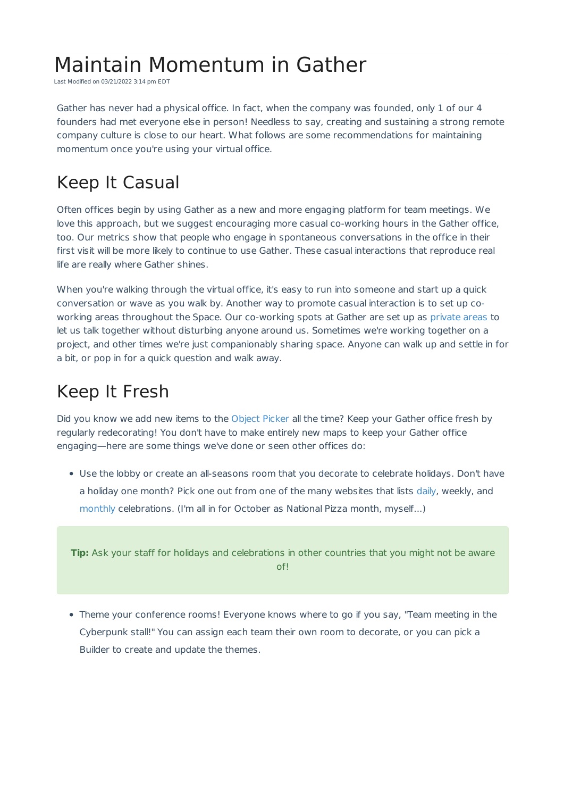# Maintain Momentum in Gather

Last Modified on 03/21/2022 3:14 pm EDT

Gather has never had a physical office. In fact, when the company was founded, only 1 of our 4 founders had met everyone else in person! Needless to say, creating and sustaining a strong remote company culture is close to our heart. What follows are some recommendations for maintaining momentum once you're using your virtual office.

## Keep It Casual

Often offices begin by using Gather as a new and more engaging platform for team meetings. We love this approach, but we suggest encouraging more casual co-working hours in the Gather office, too. Our metrics show that people who engage in spontaneous conversations in the office in their first visit will be more likely to continue to use Gather. These casual interactions that reproduce real life are really where Gather shines.

When you're walking through the virtual office, it's easy to run into someone and start up a quick conversation or wave as you walk by. Another way to promote casual interaction is to set up coworking areas throughout the Space. Our co-working spots at Gather are set up as private areas to let us talk together without disturbing anyone around us. Sometimes we're working together on a project, and other times we're just companionably sharing space. Anyone can walk up and settle in for a bit, or pop in for a quick question and walk away.

#### Keep It Fresh

Did you know we add new items to the Object Picker all the time? Keep your Gather office fresh by regularly redecorating! You don't have to make entirely new maps to keep your Gather office engaging—here are some things we've done or seen other offices do:

Use the lobby or create an all-seasons room that you decorate to celebrate holidays. Don't have a holiday one month? Pick one out from one of the many websites that lists daily, weekly, and monthly celebrations. (I'm all in for October as National Pizza month, myself...)

**Tip:** Ask your staff for holidays and celebrations in other countries that you might not be aware of!

Theme your conference rooms! Everyone knows where to go if you say, "Team meeting in the Cyberpunk stall!" You can assign each team their own room to decorate, or you can pick a Builder to create and update the themes.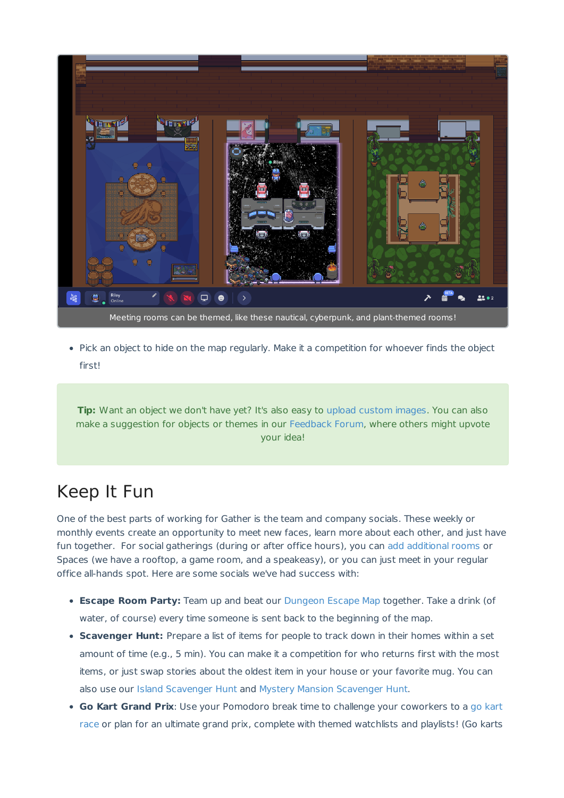

• Pick an object to hide on the map regularly. Make it a competition for whoever finds the object first!

**Tip:** Want an object we don't have yet? It's also easy to upload custom images. You can also make a suggestion for objects or themes in our Feedback Forum, where others might upvote your idea!

### Keep It Fun

One of the best parts of working for Gather is the team and company socials. These weekly or monthly events create an opportunity to meet new faces, learn more about each other, and just have fun together. For social gatherings (during or after office hours), you can add additional rooms or Spaces (we have a rooftop, a game room, and a speakeasy), or you can just meet in your regular office all-hands spot. Here are some socials we've had success with:

- **Escape Room Party:** Team up and beat our Dungeon Escape Map together. Take a drink (of water, of course) every time someone is sent back to the beginning of the map.
- **Scavenger Hunt:** Prepare a list of items for people to track down in their homes within a set amount of time (e.g., 5 min). You can make it a competition for who returns first with the most items, or just swap stories about the oldest item in your house or your favorite mug. You can also use our Island Scavenger Hunt and Mystery Mansion Scavenger Hunt.
- **Go Kart Grand Prix**: Use your Pomodoro break time to challenge your coworkers to a go kart race or plan for an ultimate grand prix, complete with themed watchlists and playlists! (Go karts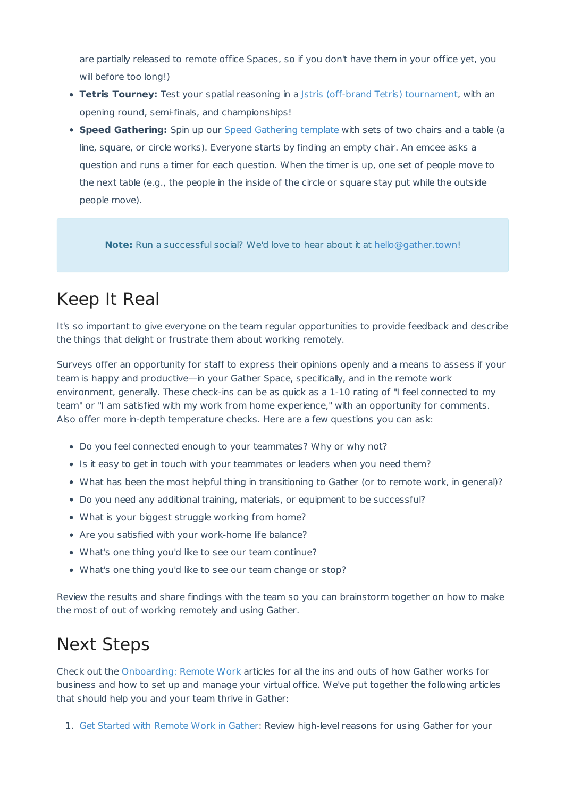are partially released to remote office Spaces, so if you don't have them in your office yet, you will before too long!)

- **Tetris Tourney:** Test your spatial reasoning in a Jstris (off-brand Tetris) tournament, with an opening round, semi-finals, and championships!
- **Speed Gathering:** Spin up our Speed Gathering template with sets of two chairs and a table (a line, square, or circle works). Everyone starts by finding an empty chair. An emcee asks a question and runs a timer for each question. When the timer is up, one set of people move to the next table (e.g., the people in the inside of the circle or square stay put while the outside people move).

**Note:** Run a successful social? We'd love to hear about it at hello@gather.town!

## Keep It Real

It's so important to give everyone on the team regular opportunities to provide feedback and describe the things that delight or frustrate them about working remotely.

Surveys offer an opportunity for staff to express their opinions openly and a means to assess if your team is happy and productive—in your Gather Space, specifically, and in the remote work environment, generally. These check-ins can be as quick as a 1-10 rating of "I feel connected to my team" or "I am satisfied with my work from home experience," with an opportunity for comments. Also offer more in-depth temperature checks. Here are a few questions you can ask:

- Do you feel connected enough to your teammates? Why or why not?
- Is it easy to get in touch with your teammates or leaders when you need them?
- What has been the most helpful thing in transitioning to Gather (or to remote work, in general)?
- Do you need any additional training, materials, or equipment to be successful?
- What is your biggest struggle working from home?
- Are you satisfied with your work-home life balance?
- What's one thing you'd like to see our team continue?
- What's one thing you'd like to see our team change or stop?

Review the results and share findings with the team so you can brainstorm together on how to make the most of out of working remotely and using Gather.

## Next Steps

Check out the Onboarding: Remote Work articles for all the ins and outs of how Gather works for business and how to set up and manage your virtual office. We've put together the following articles that should help you and your team thrive in Gather:

1. Get Started with Remote Work in Gather: Review high-level reasons for using Gather for your